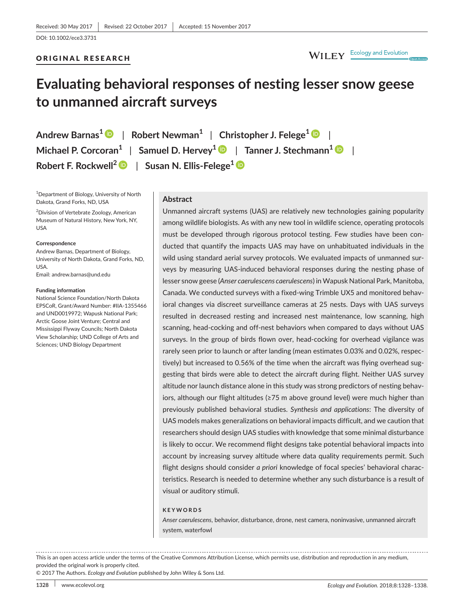## ORIGINAL RESEARCH

# WILEY Ecology and Evolution

# **Evaluating behavioral responses of nesting lesser snow geese to unmanned aircraft surveys**

**Andrew Barnas<sup>1</sup>** | **Robert Newman<sup>1</sup>** | **Christopher J. Felege[1](http://orcid.org/0000-0001-7975-219X)** | **Michael P. Corcoran<sup>1</sup>** | **Samuel D. Hervey[1](http://orcid.org/0000-0003-3496-6957)** | **Tanner J. Stechmann<sup>1</sup>** | **Robert F. Rockwell[2](http://orcid.org/0000-0001-9394-8623)** | **Susan N. Ellis-Felege[1](http://orcid.org/0000-0002-4534-0055)**

<sup>1</sup>Department of Biology, University of North Dakota, Grand Forks, ND, USA

2 Division of Vertebrate Zoology, American Museum of Natural History, New York, NY, USA

#### **Correspondence**

Andrew Barnas, Department of Biology, University of North Dakota, Grand Forks, ND, USA. Email: [andrew.barnas@und.edu](mailto:andrew.barnas@und.edu)

#### **Funding information**

National Science Foundation/North Dakota EPSCoR, Grant/Award Number: #IIA-1355466 and UND0019972; Wapusk National Park; Arctic Goose Joint Venture; Central and Mississippi Flyway Councils; North Dakota View Scholarship; UND College of Arts and Sciences; UND Biology Department

#### **Abstract**

Unmanned aircraft systems (UAS) are relatively new technologies gaining popularity among wildlife biologists. As with any new tool in wildlife science, operating protocols must be developed through rigorous protocol testing. Few studies have been conducted that quantify the impacts UAS may have on unhabituated individuals in the wild using standard aerial survey protocols. We evaluated impacts of unmanned surveys by measuring UAS-induced behavioral responses during the nesting phase of lesser snow geese (*Anser caerulescens caerulescens*) in Wapusk National Park, Manitoba, Canada. We conducted surveys with a fixed-wing Trimble UX5 and monitored behavioral changes via discreet surveillance cameras at 25 nests. Days with UAS surveys resulted in decreased resting and increased nest maintenance, low scanning, high scanning, head-cocking and off-nest behaviors when compared to days without UAS surveys. In the group of birds flown over, head-cocking for overhead vigilance was rarely seen prior to launch or after landing (mean estimates 0.03% and 0.02%, respectively) but increased to 0.56% of the time when the aircraft was flying overhead suggesting that birds were able to detect the aircraft during flight. Neither UAS survey altitude nor launch distance alone in this study was strong predictors of nesting behaviors, although our flight altitudes (≥75 m above ground level) were much higher than previously published behavioral studies. *Synthesis and applications*: The diversity of UAS models makes generalizations on behavioral impacts difficult, and we caution that researchers should design UAS studies with knowledge that some minimal disturbance is likely to occur. We recommend flight designs take potential behavioral impacts into account by increasing survey altitude where data quality requirements permit. Such flight designs should consider *a priori* knowledge of focal species' behavioral characteristics. Research is needed to determine whether any such disturbance is a result of visual or auditory stimuli.

#### **KEYWORDS**

*Anser caerulescens*, behavior, disturbance, drone, nest camera, noninvasive, unmanned aircraft system, waterfowl

. . . . . . . . . . . . . . . . . . . . . . . . . . . . This is an open access article under the terms of the [Creative Commons Attribution](http://creativecommons.org/licenses/by/4.0/) License, which permits use, distribution and reproduction in any medium, provided the original work is properly cited.

© 2017 The Authors. *Ecology and Evolution* published by John Wiley & Sons Ltd.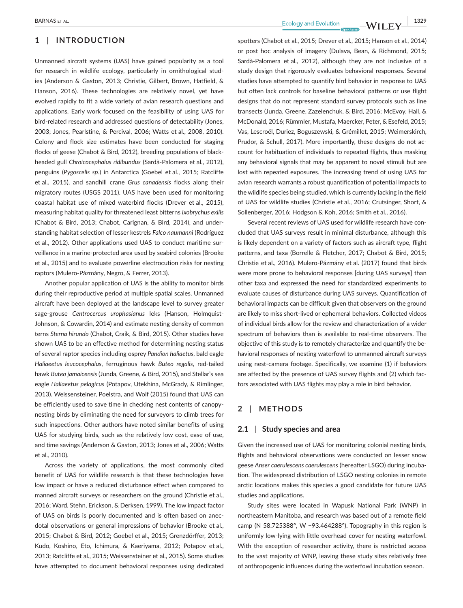## **1** | **INTRODUCTION**

Unmanned aircraft systems (UAS) have gained popularity as a tool for research in wildlife ecology, particularly in ornithological studies (Anderson & Gaston, 2013; Christie, Gilbert, Brown, Hatfield, & Hanson, 2016). These technologies are relatively novel, yet have evolved rapidly to fit a wide variety of avian research questions and applications. Early work focused on the feasibility of using UAS for bird-related research and addressed questions of detectability (Jones, 2003; Jones, Pearlstine, & Percival, 2006; Watts et al., 2008, 2010). Colony and flock size estimates have been conducted for staging flocks of geese (Chabot & Bird, 2012), breeding populations of blackheaded gull *Chroicocephalus ridibundus* (Sardà-Palomera et al., 2012), penguins (*Pygoscelis sp*.) in Antarctica (Goebel et al., 2015; Ratcliffe et al., 2015), and sandhill crane *Grus canadensis* flocks along their migratory routes (USGS 2011). UAS have been used for monitoring coastal habitat use of mixed waterbird flocks (Drever et al., 2015), measuring habitat quality for threatened least bitterns *Ixobrychus exilis* (Chabot & Bird, 2013; Chabot, Carignan, & Bird, 2014), and understanding habitat selection of lesser kestrels *Falco naumanni* (Rodríguez et al., 2012). Other applications used UAS to conduct maritime surveillance in a marine-protected area used by seabird colonies (Brooke et al., 2015) and to evaluate powerline electrocution risks for nesting raptors (Mulero-Pázmány, Negro, & Ferrer, 2013).

Another popular application of UAS is the ability to monitor birds during their reproductive period at multiple spatial scales. Unmanned aircraft have been deployed at the landscape level to survey greater sage-grouse *Centrocercus urophasianus* leks (Hanson, Holmquist-Johnson, & Cowardin, 2014) and estimate nesting density of common terns *Sterna hirundo* (Chabot, Craik, & Bird, 2015). Other studies have shown UAS to be an effective method for determining nesting status of several raptor species including osprey *Pandion haliaetus*, bald eagle *Haliaeetus leucocephalus*, ferruginous hawk *Buteo regalis*, red-tailed hawk *Buteo jamaicensis* (Junda, Greene, & Bird, 2015), and Stellar's sea eagle *Haliaeetus pelagicus* (Potapov, Utekhina, McGrady, & Rimlinger, 2013). Weissensteiner, Poelstra, and Wolf (2015) found that UAS can be efficiently used to save time in checking nest contents of canopynesting birds by eliminating the need for surveyors to climb trees for such inspections. Other authors have noted similar benefits of using UAS for studying birds, such as the relatively low cost, ease of use, and time savings (Anderson & Gaston, 2013; Jones et al., 2006; Watts et al., 2010).

Across the variety of applications, the most commonly cited benefit of UAS for wildlife research is that these technologies have low impact or have a reduced disturbance effect when compared to manned aircraft surveys or researchers on the ground (Christie et al., 2016; Ward, Stehn, Erickson, & Derksen, 1999). The low impact factor of UAS on birds is poorly documented and is often based on anecdotal observations or general impressions of behavior (Brooke et al., 2015; Chabot & Bird, 2012; Goebel et al., 2015; Grenzdörffer, 2013; Kudo, Koshino, Eto, Ichimura, & Kaeriyama, 2012; Potapov et al., 2013; Ratcliffe et al., 2015; Weissensteiner et al., 2015). Some studies have attempted to document behavioral responses using dedicated

 **BARNAS** ET AL. **1329**<br>**BARNAS** ET AL. **1329** 

spotters (Chabot et al., 2015; Drever et al., 2015; Hanson et al., 2014) or post hoc analysis of imagery (Dulava, Bean, & Richmond, 2015; Sardà-Palomera et al., 2012), although they are not inclusive of a study design that rigorously evaluates behavioral responses. Several studies have attempted to quantify bird behavior in response to UAS but often lack controls for baseline behavioral patterns or use flight designs that do not represent standard survey protocols such as line transects (Junda, Greene, Zazelenchuk, & Bird, 2016; McEvoy, Hall, & McDonald, 2016; Rümmler, Mustafa, Maercker, Peter, & Esefeld, 2015; Vas, Lescroël, Duriez, Boguszewski, & Grémillet, 2015; Weimerskirch, Prudor, & Schull, 2017). More importantly, these designs do not account for habituation of individuals to repeated flights, thus masking any behavioral signals that may be apparent to novel stimuli but are lost with repeated exposures. The increasing trend of using UAS for avian research warrants a robust quantification of potential impacts to the wildlife species being studied, which is currently lacking in the field of UAS for wildlife studies (Christie et al., 2016; Crutsinger, Short, & Sollenberger, 2016; Hodgson & Koh, 2016; Smith et al., 2016).

Several recent reviews of UAS used for wildlife research have concluded that UAS surveys result in minimal disturbance, although this is likely dependent on a variety of factors such as aircraft type, flight patterns, and taxa (Borrelle & Fletcher, 2017; Chabot & Bird, 2015; Christie et al., 2016). Mulero-Pázmány et al. (2017) found that birds were more prone to behavioral responses [during UAS surveys] than other taxa and expressed the need for standardized experiments to evaluate causes of disturbance during UAS surveys. Quantification of behavioral impacts can be difficult given that observers on the ground are likely to miss short-lived or ephemeral behaviors. Collected videos of individual birds allow for the review and characterization of a wider spectrum of behaviors than is available to real-time observers. The objective of this study is to remotely characterize and quantify the behavioral responses of nesting waterfowl to unmanned aircraft surveys using nest-camera footage. Specifically, we examine (1) if behaviors are affected by the presence of UAS survey flights and (2) which factors associated with UAS flights may play a role in bird behavior.

## **2** | **METHODS**

## **2.1** | **Study species and area**

Given the increased use of UAS for monitoring colonial nesting birds, flights and behavioral observations were conducted on lesser snow geese *Anser caerulescens caerulescens* (hereafter LSGO) during incubation. The widespread distribution of LSGO nesting colonies in remote arctic locations makes this species a good candidate for future UAS studies and applications.

Study sites were located in Wapusk National Park (WNP) in northeastern Manitoba, and research was based out of a remote field camp (N 58.725388°, W −93.464288°). Topography in this region is uniformly low-lying with little overhead cover for nesting waterfowl. With the exception of researcher activity, there is restricted access to the vast majority of WNP, leaving these study sites relatively free of anthropogenic influences during the waterfowl incubation season.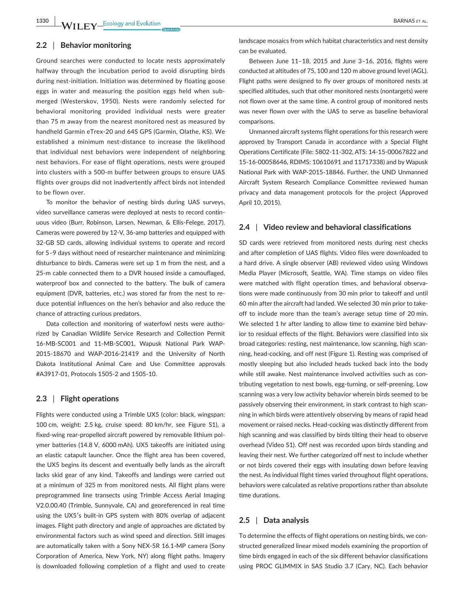## **2.2** | **Behavior monitoring**

Ground searches were conducted to locate nests approximately halfway through the incubation period to avoid disrupting birds during nest-initiation. Initiation was determined by floating goose eggs in water and measuring the position eggs held when submerged (Westerskov, 1950). Nests were randomly selected for behavioral monitoring provided individual nests were greater than 75 m away from the nearest monitored nest as measured by handheld Garmin eTrex-20 and 64S GPS (Garmin, Olathe, KS). We established a minimum nest-distance to increase the likelihood that individual nest behaviors were independent of neighboring nest behaviors. For ease of flight operations, nests were grouped into clusters with a 500-m buffer between groups to ensure UAS flights over groups did not inadvertently affect birds not intended to be flown over.

To monitor the behavior of nesting birds during UAS surveys, video surveillance cameras were deployed at nests to record continuous video (Burr, Robinson, Larsen, Newman, & Ellis-Felege, 2017). Cameras were powered by 12-V, 36-amp batteries and equipped with 32-GB SD cards, allowing individual systems to operate and record for 5–9 days without need of researcher maintenance and minimizing disturbance to birds. Cameras were set up 1 m from the nest, and a 25-m cable connected them to a DVR housed inside a camouflaged, waterproof box and connected to the battery. The bulk of camera equipment (DVR, batteries, etc.) was stored far from the nest to reduce potential influences on the hen's behavior and also reduce the chance of attracting curious predators.

Data collection and monitoring of waterfowl nests were authorized by Canadian Wildlife Service Research and Collection Permit 16-MB-SC001 and 11-MB-SC001, Wapusk National Park WAP-2015-18670 and WAP-2016-21419 and the University of North Dakota Institutional Animal Care and Use Committee approvals #A3917-01, Protocols 1505-2 and 1505-10.

#### **2.3** | **Flight operations**

Flights were conducted using a Trimble UX5 (color: black, wingspan: 100 cm, weight: 2.5 kg, cruise speed: 80 km/hr, see Figure S1), a fixed-wing rear-propelled aircraft powered by removable lithium polymer batteries (14.8 V, 6000 mAh). UX5 takeoffs are initiated using an elastic catapult launcher. Once the flight area has been covered, the UX5 begins its descent and eventually belly lands as the aircraft lacks skid gear of any kind. Takeoffs and landings were carried out at a minimum of 325 m from monitored nests. All flight plans were preprogrammed line transects using Trimble Access Aerial Imaging V2.0.00.40 (Trimble, Sunnyvale, CA) and georeferenced in real time using the UX5′s built-in GPS system with 80% overlap of adjacent images. Flight path directory and angle of approaches are dictated by environmental factors such as wind speed and direction. Still images are automatically taken with a Sony NEX-5R 16.1-MP camera (Sony Corporation of America, New York, NY) along flight paths. Imagery is downloaded following completion of a flight and used to create

landscape mosaics from which habitat characteristics and nest density can be evaluated.

Between June 11–18, 2015 and June 3–16, 2016, flights were conducted at altitudes of 75, 100 and 120 m above ground level (AGL). Flight paths were designed to fly over groups of monitored nests at specified altitudes, such that other monitored nests (nontargets) were not flown over at the same time. A control group of monitored nests was never flown over with the UAS to serve as baseline behavioral comparisons.

Unmanned aircraft systems flight operations for this research were approved by Transport Canada in accordance with a Special Flight Operations Certificate (File: 5802-11-302, ATS: 14-15-00067822 and 15-16-00058646, RDIMS: 10610691 and 11717338) and by Wapusk National Park with WAP-2015-18846. Further, the UND Unmanned Aircraft System Research Compliance Committee reviewed human privacy and data management protocols for the project (Approved April 10, 2015).

#### **2.4** | **Video review and behavioral classifications**

SD cards were retrieved from monitored nests during nest checks and after completion of UAS flights. Video files were downloaded to a hard drive. A single observer (AB) reviewed video using Windows Media Player (Microsoft, Seattle, WA). Time stamps on video files were matched with flight operation times, and behavioral observations were made continuously from 30 min prior to takeoff and until 60 min after the aircraft had landed. We selected 30 min prior to takeoff to include more than the team's average setup time of 20 min. We selected 1 hr after landing to allow time to examine bird behavior to residual effects of the flight. Behaviors were classified into six broad categories: resting, nest maintenance, low scanning, high scanning, head-cocking, and off nest (Figure 1). Resting was comprised of mostly sleeping but also included heads tucked back into the body while still awake. Nest maintenance involved activities such as contributing vegetation to nest bowls, egg-turning, or self-preening. Low scanning was a very low activity behavior wherein birds seemed to be passively observing their environment, in stark contrast to high scanning in which birds were attentively observing by means of rapid head movement or raised necks. Head-cocking was distinctly different from high scanning and was classified by birds tilting their head to observe overhead (Video S1). Off nest was recorded upon birds standing and leaving their nest. We further categorized off nest to include whether or not birds covered their eggs with insulating down before leaving the nest. As individual flight times varied throughout flight operations, behaviors were calculated as relative proportions rather than absolute time durations.

#### **2.5** | **Data analysis**

To determine the effects of flight operations on nesting birds, we constructed generalized linear mixed models examining the proportion of time birds engaged in each of the six different behavior classifications using PROC GLIMMIX in SAS Studio 3.7 (Cary, NC). Each behavior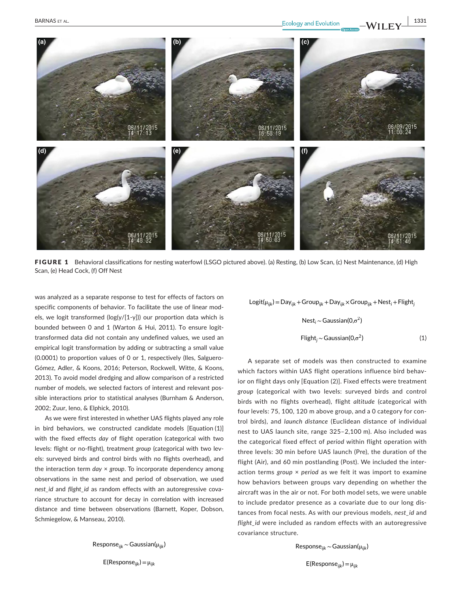

FIGURE 1 Behavioral classifications for nesting waterfowl (LSGO pictured above). (a) Resting, (b) Low Scan, (c) Nest Maintenance, (d) High Scan, (e) Head Cock, (f) Off Nest

was analyzed as a separate response to test for effects of factors on specific components of behavior. To facilitate the use of linear models, we logit transformed (log(y/[1-y])) our proportion data which is bounded between 0 and 1 (Warton & Hui, 2011). To ensure logittransformed data did not contain any undefined values, we used an empirical logit transformation by adding or subtracting a small value (0.0001) to proportion values of 0 or 1, respectively (Iles, Salguero-Gómez, Adler, & Koons, 2016; Peterson, Rockwell, Witte, & Koons, 2013). To avoid model dredging and allow comparison of a restricted number of models, we selected factors of interest and relevant possible interactions prior to statistical analyses (Burnham & Anderson, 2002; Zuur, Ieno, & Elphick, 2010).

As we were first interested in whether UAS flights played any role in bird behaviors, we constructed candidate models [Equation (1)] with the fixed effects *day* of flight operation (categorical with two levels: flight or no-flight), treatment *group* (categorical with two levels: surveyed birds and control birds with no flights overhead), and the interaction term *day* × *group*. To incorporate dependency among observations in the same nest and period of observation, we used *nest\_id* and *flight\_id* as random effects with an autoregressive covariance structure to account for decay in correlation with increased distance and time between observations (Barnett, Koper, Dobson, Schmiegelow, & Manseau, 2010).

Response*ijk* ∼Gaussian(μ*ijk*)

E(Response*ijk*)= μ*ijk*

Logit( $\mu_{ijk}$ ) = Day<sub>iik</sub> + Group<sub>iik</sub> + Day<sub>iik</sub> × Group<sub>iik</sub> + Nest<sub>i</sub> + Flight<sub>i</sub>

$$
Nesti ~ Gaussian(0, \sigma2)
$$
  
Flight<sub>j</sub> ~ Gaussian(0,  $\sigma2$ ) (1)

A separate set of models was then constructed to examine which factors within UAS flight operations influence bird behavior on flight days only [Equation (2)]. Fixed effects were treatment *group* (categorical with two levels: surveyed birds and control birds with no flights overhead), flight *altitude* (categorical with four levels: 75, 100, 120 m above group, and a 0 category for control birds), and *launch distance* (Euclidean distance of individual nest to UAS launch site, range 325–2,100 m). Also included was the categorical fixed effect of *period* within flight operation with three levels: 30 min before UAS launch (Pre), the duration of the flight (Air), and 60 min postlanding (Post). We included the interaction terms *group* × *period* as we felt it was import to examine how behaviors between groups vary depending on whether the aircraft was in the air or not. For both model sets, we were unable to include predator presence as a covariate due to our long distances from focal nests. As with our previous models, *nest\_id* and *flight\_id* were included as random effects with an autoregressive covariance structure.

Response*ijk* ∼Gaussian(μ*ijk*)

E(Response*ijk*)= μ*ijk*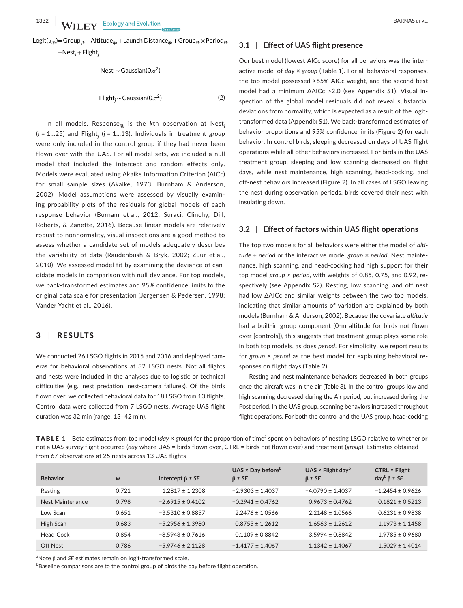+Nest*<sup>i</sup>* +Flight*<sup>j</sup>*

$$
Nest_i \sim Gaussian(0, \sigma^2)
$$
  
\n
$$
Flight_i \sim Gaussian(0, \sigma^2)
$$
 (2)

In all models, Response*ijk* is the *k*th observation at Nest*<sup>i</sup>* (*i* = 1…25) and Flight*<sup>j</sup>* (*j* = 1…13). Individuals in treatment *group* were only included in the control group if they had never been flown over with the UAS. For all model sets, we included a null model that included the intercept and random effects only. Models were evaluated using Akaike Information Criterion (AICc) for small sample sizes (Akaike, 1973; Burnham & Anderson, 2002). Model assumptions were assessed by visually examining probability plots of the residuals for global models of each response behavior (Burnam et al., 2012; Suraci, Clinchy, Dill, Roberts, & Zanette, 2016). Because linear models are relatively robust to nonnormality, visual inspections are a good method to assess whether a candidate set of models adequately describes the variability of data (Raudenbush & Bryk, 2002; Zuur et al., 2010). We assessed model fit by examining the deviance of candidate models in comparison with null deviance. For top models, we back-transformed estimates and 95% confidence limits to the original data scale for presentation (Jørgensen & Pedersen, 1998; Vander Yacht et al., 2016).

## **3** | **RESULTS**

We conducted 26 LSGO flights in 2015 and 2016 and deployed cameras for behavioral observations at 32 LSGO nests. Not all flights and nests were included in the analyses due to logistic or technical difficulties (e.g., nest predation, nest-camera failures). Of the birds flown over, we collected behavioral data for 18 LSGO from 13 flights. Control data were collected from 7 LSGO nests. Average UAS flight duration was 32 min (range: 13–42 min).

## **3.1** | **Effect of UAS flight presence**

Our best model (lowest AICc score) for all behaviors was the interactive model of *day* × *group* (Table 1). For all behavioral responses, the top model possessed >65% AICc weight, and the second best model had a minimum ∆AICc >2.0 (see Appendix S1). Visual inspection of the global model residuals did not reveal substantial deviations from normality, which is expected as a result of the logittransformed data (Appendix S1). We back-transformed estimates of behavior proportions and 95% confidence limits (Figure 2) for each behavior. In control birds, sleeping decreased on days of UAS flight operations while all other behaviors increased. For birds in the UAS treatment group, sleeping and low scanning decreased on flight days, while nest maintenance, high scanning, head-cocking, and off-nest behaviors increased (Figure 2). In all cases of LSGO leaving the nest during observation periods, birds covered their nest with insulating down.

## **3.2** | **Effect of factors within UAS flight operations**

The top two models for all behaviors were either the model of *altitude* + *period* or the interactive model *group* × *period*. Nest maintenance, high scanning, and head-cocking had high support for their top model *group* × *period*, with weights of 0.85, 0.75, and 0.92, respectively (see Appendix S2). Resting, low scanning, and off nest had low ∆AICc and similar weights between the two top models, indicating that similar amounts of variation are explained by both models (Burnham & Anderson, 2002). Because the covariate *altitude* had a built-in group component (0-m altitude for birds not flown over [controls]), this suggests that treatment group plays some role in both top models, as does *period*. For simplicity, we report results for *group* × *period* as the best model for explaining behavioral responses on flight days (Table 2).

Resting and nest maintenance behaviors decreased in both groups once the aircraft was in the air (Table 3). In the control groups low and high scanning decreased during the Air period, but increased during the Post period. In the UAS group, scanning behaviors increased throughout flight operations. For both the control and the UAS group, head-cocking

TABLE 1 Beta estimates from top model (*day × group*) for the proportion of time<sup>a</sup> spent on behaviors of nesting LSGO relative to whether or not a UAS survey flight occurred (*day* where UAS = birds flown over, CTRL = birds not flown over) and treatment (*group*). Estimates obtained from 67 observations at 25 nests across 13 UAS flights

| <b>Behavior</b>  | W     | Intercept $\beta \pm SE$ | $UAS \times Day$ before <sup>b</sup><br>$\beta \pm SE$ | UAS $\times$ Flight day <sup>b</sup><br>$\beta \pm SE$ | $CTRL \times Flight$<br>$day^b \beta \pm SE$ |
|------------------|-------|--------------------------|--------------------------------------------------------|--------------------------------------------------------|----------------------------------------------|
| Resting          | 0.721 | $1.2817 \pm 1.2308$      | $-2.9303 \pm 1.4037$                                   | $-4.0790 \pm 1.4037$                                   | $-1.2454 + 0.9626$                           |
| Nest Maintenance | 0.798 | $-2.6915 \pm 0.4102$     | $-0.2941 \pm 0.4762$                                   | $0.9673 \pm 0.4762$                                    | $0.1821 \pm 0.5213$                          |
| Low Scan         | 0.651 | $-3.5310 \pm 0.8857$     | $2.2476 \pm 1.0566$                                    | $2.2148 \pm 1.0566$                                    | $0.6231 \pm 0.9838$                          |
| High Scan        | 0.683 | $-5.2956 \pm 1.3980$     | $0.8755 \pm 1.2612$                                    | $1.6563 \pm 1.2612$                                    | $1.1973 \pm 1.1458$                          |
| Head-Cock        | 0.854 | $-8.5943 \pm 0.7616$     | $0.1109 \pm 0.8842$                                    | $3.5994 \pm 0.8842$                                    | $1.9785 \pm 0.9680$                          |
| Off Nest         | 0.786 | $-5.9746 \pm 2.1128$     | $-1.4177 \pm 1.4067$                                   | $1.1342 \pm 1.4067$                                    | $1.5029 \pm 1.4014$                          |

<sup>a</sup>Note β and *SE* estimates remain on logit-transformed scale.

 $^{\rm b}$ Baseline comparisons are to the control group of birds the day before flight operation.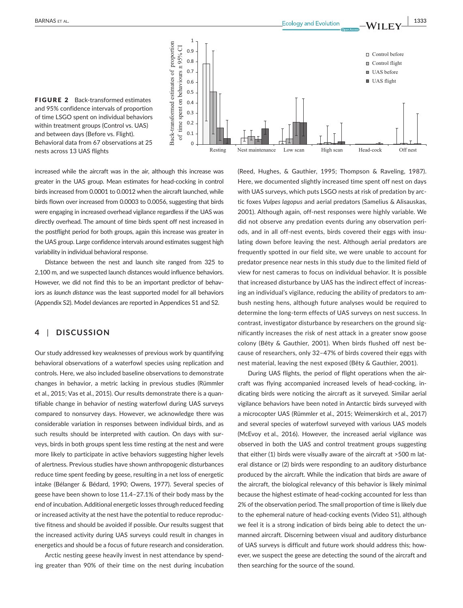

FIGURE 2 Back-transformed estimates and 95% confidence intervals of proportion of time LSGO spent on individual behaviors within treatment groups (Control vs. UAS) and between days (Before vs. Flight). Behavioral data from 67 observations at 25 nests across 13 UAS flights

increased while the aircraft was in the air, although this increase was greater in the UAS group. Mean estimates for head-cocking in control birds increased from 0.0001 to 0.0012 when the aircraft launched, while birds flown over increased from 0.0003 to 0.0056, suggesting that birds were engaging in increased overhead vigilance regardless if the UAS was directly overhead. The amount of time birds spent off nest increased in the postflight period for both groups, again this increase was greater in the UAS group. Large confidence intervals around estimates suggest high variability in individual behavioral response.

Distance between the nest and launch site ranged from 325 to 2,100 m, and we suspected launch distances would influence behaviors. However, we did not find this to be an important predictor of behaviors as *launch distance* was the least supported model for all behaviors (Appendix S2). Model deviances are reported in Appendices S1 and S2.

# **4** | **DISCUSSION**

Our study addressed key weaknesses of previous work by quantifying behavioral observations of a waterfowl species using replication and controls. Here, we also included baseline observations to demonstrate changes in behavior, a metric lacking in previous studies (Rümmler et al., 2015; Vas et al., 2015). Our results demonstrate there is a quantifiable change in behavior of nesting waterfowl during UAS surveys compared to nonsurvey days. However, we acknowledge there was considerable variation in responses between individual birds, and as such results should be interpreted with caution. On days with surveys, birds in both groups spent less time resting at the nest and were more likely to participate in active behaviors suggesting higher levels of alertness. Previous studies have shown anthropogenic disturbances reduce time spent feeding by geese, resulting in a net loss of energetic intake (Bélanger & Bédard, 1990; Owens, 1977). Several species of geese have been shown to lose 11.4–27.1% of their body mass by the end of incubation. Additional energetic losses through reduced feeding or increased activity at the nest have the potential to reduce reproductive fitness and should be avoided if possible. Our results suggest that the increased activity during UAS surveys could result in changes in energetics and should be a focus of future research and consideration.

Arctic nesting geese heavily invest in nest attendance by spending greater than 90% of their time on the nest during incubation (Reed, Hughes, & Gauthier, 1995; Thompson & Raveling, 1987). Here, we documented slightly increased time spent off nest on days with UAS surveys, which puts LSGO nests at risk of predation by arctic foxes *Vulpes lagopus* and aerial predators (Samelius & Alisauskas, 2001). Although again, off-nest responses were highly variable. We did not observe any predation events during any observation periods, and in all off-nest events, birds covered their eggs with insulating down before leaving the nest. Although aerial predators are frequently spotted in our field site, we were unable to account for predator presence near nests in this study due to the limited field of view for nest cameras to focus on individual behavior. It is possible that increased disturbance by UAS has the indirect effect of increasing an individual's vigilance, reducing the ability of predators to ambush nesting hens, although future analyses would be required to determine the long-term effects of UAS surveys on nest success. In contrast, investigator disturbance by researchers on the ground significantly increases the risk of nest attack in a greater snow goose colony (Bêty & Gauthier, 2001). When birds flushed off nest because of researchers, only 32–47% of birds covered their eggs with nest material, leaving the nest exposed (Bêty & Gauthier, 2001).

During UAS flights, the period of flight operations when the aircraft was flying accompanied increased levels of head-cocking, indicating birds were noticing the aircraft as it surveyed. Similar aerial vigilance behaviors have been noted in Antarctic birds surveyed with a microcopter UAS (Rümmler et al., 2015; Weimerskirch et al., 2017) and several species of waterfowl surveyed with various UAS models (McEvoy et al., 2016). However, the increased aerial vigilance was observed in both the UAS and control treatment groups suggesting that either (1) birds were visually aware of the aircraft at >500 m lateral distance or (2) birds were responding to an auditory disturbance produced by the aircraft. While the indication that birds are aware of the aircraft, the biological relevancy of this behavior is likely minimal because the highest estimate of head-cocking accounted for less than 2% of the observation period. The small proportion of time is likely due to the ephemeral nature of head-cocking events (Video S1), although we feel it is a strong indication of birds being able to detect the unmanned aircraft. Discerning between visual and auditory disturbance of UAS surveys is difficult and future work should address this; however, we suspect the geese are detecting the sound of the aircraft and then searching for the source of the sound.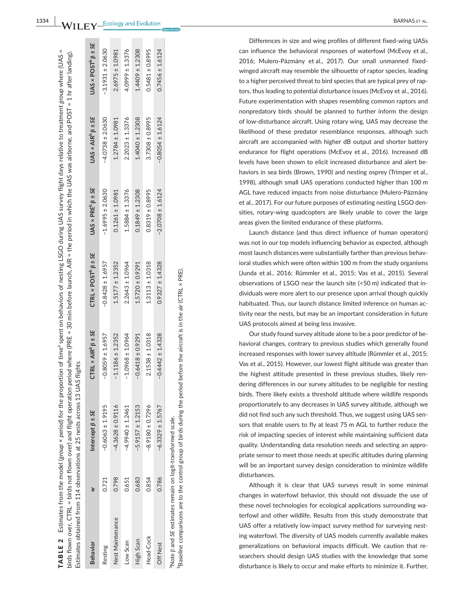|                  |       | $\sin(45\,$ flown over, CTRL = birds not flown over) and flight operation period where (PRE = 30 min before launch, AIR = the period in which the UAS was airborne, and POST = 1 hr after landing).<br>Estimates obtained from 114 observations at 25 nests across 13 UAS flights |                                             |                                                |                                 |                                   |                                    |
|------------------|-------|-----------------------------------------------------------------------------------------------------------------------------------------------------------------------------------------------------------------------------------------------------------------------------------|---------------------------------------------|------------------------------------------------|---------------------------------|-----------------------------------|------------------------------------|
| <b>Behavior</b>  |       | Intercept $\beta \pm 5E$                                                                                                                                                                                                                                                          | CTRL $\times$ AIR <sup>b</sup> $\beta$ ± SE | CTRL $\times$ POST <sup>D</sup> $\beta \pm 5E$ | $UAS \times PRE^b \beta \pm SE$ | $UAS \times AIR^{b} \beta \pm SE$ | $UAS \times POST^{D} \beta \pm SE$ |
| Resting          | 0.721 | $-0.6063 \pm 1.9195$                                                                                                                                                                                                                                                              | $-0.8059 \pm 1.6957$                        | $-0.8428 \pm 1.6957$                           | $-1.6995 \pm 2.0630$            | $-4.0738 \pm 2.0630$              | $-3.1931 \pm 2.0630$               |
| Nest Maintenance | 0.798 | $-4.3628 \pm 0.9116$                                                                                                                                                                                                                                                              | $-1.1186 \pm 1.2352$                        | $1.5177 \pm 1.2352$                            | $0.1261 \pm 1.0981$             | $1.2784 \pm 1.0981$               | $2.6975 \pm 1.0981$                |
| Low Scan         | 0.651 | $-4.9940 \pm 1.2461$                                                                                                                                                                                                                                                              | $-1.0968 \pm 1.0964$                        | $2.2643 \pm 1.0964$                            | $1.5884 \pm 1.3376$             | $2.2023 \pm 1.3376$               | $4.0999 \pm 1.3376$                |
| <b>High Scan</b> | 0.683 | $-5.9157 \pm 1.2153$                                                                                                                                                                                                                                                              | $-0.6418 \pm 0.9291$                        | $1.5720 \pm 0.9291$                            | $0.1849 \pm 1.2308$             | $1.4040 \pm 1.2308$               | $1.4409 \pm 1.2308$                |
| Head-Cock        | 0.854 | $8.9180 \pm 0.7296$                                                                                                                                                                                                                                                               | $2.1538 \pm 1.0318$                         | $1.3113 \pm 1.0318$                            | $0.8319 \pm 0.8995$             | $3.7308 \pm 0.8995$               | $0.5481 \pm 0.8995$                |

TABLE 2

**TABLE 2** 

Estimates from the model (*group* × *period*) for the proportion of timea spent on behaviors of nesting LSGO during UAS survey flight days relative to treatment *group* where (UAS =

Estimates from the model (group × period) for the proportion of time<sup>a</sup> spent on behaviors of nesting LSGO during UAS survey flight days relative to treatment group where (UAS

aNote β and *SE* estimates remain on logit-transformed scale. Note B and SE estimates remain on logit-transformed scale

Off Nest 0.786 −6.3329 ± 1.5767 −0.4442 ± 1.4328 0.9327 ± 1.4328 −2.0708 ± 1.6124 −0.8054 ± 1.6124 0.7456 ± 1.6124

 $-0.4442 \pm 1.4328$ 

 $-6.3329 \pm 1.5767$ 

0.786

**Off Nest** 

 $0.9327 \pm 1.4328$ 

 $0.7456 \pm 1.6124$ 

 $-0.8054 \pm 1.6124$ 

 $-2.0708 \pm 1.6124$ 

bBaseline comparisons are to the control group of birds during the period before the aircraft is in the air (CTRL × PRE).Baseline comparisons are to the control group of birds during the period before the aircraft is in the air (CTRL  $\times$  PRE)

Differences in size and wing profiles of different fixed-wing UASs can influence the behavioral responses of waterfowl (McEvoy et al., 2016; Mulero-Pázmány et al., 2017). Our small unmanned fixedwinged aircraft may resemble the silhouette of raptor species, leading to a higher perceived threat to bird species that are typical prey of rap tors, thus leading to potential disturbance issues (McEvoy et al., 2016). Future experimentation with shapes resembling common raptors and nonpredatory birds should be planned to further inform the design of low-disturbance aircraft. Using rotary wing, UAS may decrease the likelihood of these predator resemblance responses, although such aircraft are accompanied with higher dB output and shorter battery endurance for flight operations (McEvoy et al., 2016). Increased dB levels have been shown to elicit increased disturbance and alert be haviors in sea birds (Brown, 1990) and nesting osprey (Trimper et al., 1998), although small UAS operations conducted higher than 100 m AGL have reduced impacts from noise disturbance (Mulero-Pázmány et al., 2017). For our future purposes of estimating nesting LSGO den sities, rotary-wing quadcopters are likely unable to cover the large areas given the limited endurance of these platforms.

Launch distance (and thus direct influence of human operators) was not in our top models influencing behavior as expected, although most launch distances were substantially farther than previous behav ioral studies which were often within 100 m from the study organisms (Junda et al., 2016; Rümmler et al., 2015; Vas et al., 2015). Several observations of LSGO near the launch site (<50 m) indicated that in dividuals were more alert to our presence upon arrival though quickly habituated. Thus, our launch distance limited inference on human ac tivity near the nests, but may be an important consideration in future UAS protocols aimed at being less invasive.

Our study found survey altitude alone to be a poor predictor of be havioral changes, contrary to previous studies which generally found increased responses with lower survey altitude (Rümmler et al., 2015; Vas et al., 2015). However, our lowest flight altitude was greater than the highest altitude presented in these previous studies, likely ren dering differences in our survey altitudes to be negligible for nesting birds. There likely exists a threshold altitude where wildlife responds proportionately to any decreases in UAS survey altitude, although we did not find such any such threshold. Thus, we suggest using UAS sen sors that enable users to fly at least 75 m AGL to further reduce the risk of impacting species of interest while maintaining sufficient data quality. Understanding data resolution needs and selecting an appro priate sensor to meet those needs at specific altitudes during planning will be an important survey design consideration to minimize wildlife disturbances.

Although it is clear that UAS surveys result in some minimal changes in waterfowl behavior, this should not dissuade the use of these novel technologies for ecological applications surrounding wa terfowl and other wildlife. Results from this study demonstrate that UAS offer a relatively low-impact survey method for surveying nest ing waterfowl. The diversity of UAS models currently available makes generalizations on behavioral impacts difficult. We caution that re searchers should design UAS studies with the knowledge that some disturbance is likely to occur and make efforts to minimize it. Further,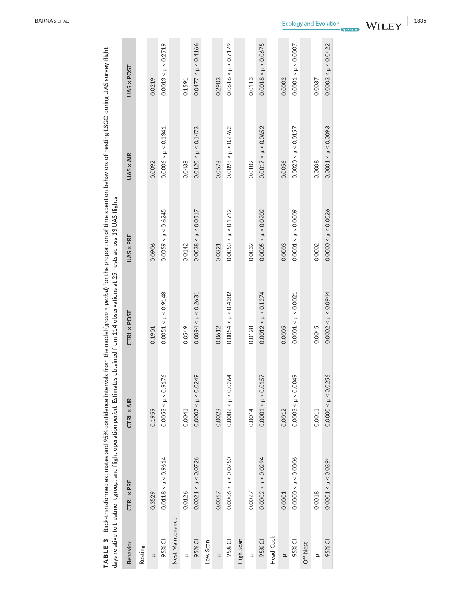|                  | TABLE 3 Back-transformed estimates and 95% confidence intervals from the model (group × period) for the proportion of time spent on behaviors of nesting LSGO during UAS survey flight<br>days relative to treatment group, and flight operation <i>period</i> . Estimates obtained from 114 observations at 25 nests across 13 UAS flights |                         |                         |                         |                         |                         |
|------------------|---------------------------------------------------------------------------------------------------------------------------------------------------------------------------------------------------------------------------------------------------------------------------------------------------------------------------------------------|-------------------------|-------------------------|-------------------------|-------------------------|-------------------------|
| <b>Behavior</b>  | <b>CTRL × PRE</b>                                                                                                                                                                                                                                                                                                                           | <b>CTRL × AIR</b>       | CTRL × POST             | UAS × PRE               | UAS × AIR               | UAS × POST              |
| Resting          |                                                                                                                                                                                                                                                                                                                                             |                         |                         |                         |                         |                         |
| ᅼ                | 0.3529                                                                                                                                                                                                                                                                                                                                      | 0.1959                  | 0.1901                  | 0.0906                  | 0.0092                  | 0.0219                  |
| 95% CI           | $0.0118 < \mu < 0.9614$                                                                                                                                                                                                                                                                                                                     | $0.0053 < \mu < 0.9176$ | $0.0051 < \mu < 0.9148$ | $0.0059 < \mu < 0.6245$ | $0.0006 < \mu < 0.1341$ | $0.0013 < \mu < 0.2719$ |
| Nest Maintenance |                                                                                                                                                                                                                                                                                                                                             |                         |                         |                         |                         |                         |
| ᆋ                | 0.0126                                                                                                                                                                                                                                                                                                                                      | 0.0041                  | 0.0549                  | 0.0142                  | 0.0438                  | 0.1591                  |
| 95% CI           | $0.0021 < \mu < 0.0726$                                                                                                                                                                                                                                                                                                                     | $0.0007 < \mu < 0.0249$ | $0.0094 < \mu < 0.2631$ | $0.0038 < \mu < 0.0517$ | $0.0120 < \mu < 0.1473$ | $0.0477 < \mu < 0.4166$ |
| Low Scan         |                                                                                                                                                                                                                                                                                                                                             |                         |                         |                         |                         |                         |
| ±                | 0.0067                                                                                                                                                                                                                                                                                                                                      | 0.0023                  | 0.0612                  | 0.0321                  | 0.0578                  | 0.2903                  |
| 95% CI           | $0.0006 < \mu < 0.0750$                                                                                                                                                                                                                                                                                                                     | $0.0002 < \mu < 0.0264$ | $0.0054 < \mu < 0.4382$ | $0.0053 < \mu < 0.1712$ | $0.0098 < \mu < 0.2762$ | $0.0616 < \mu < 0.7179$ |
| High Scan        |                                                                                                                                                                                                                                                                                                                                             |                         |                         |                         |                         |                         |
| ᆋ                | 0.0027                                                                                                                                                                                                                                                                                                                                      | 0.0014                  | 0.0128                  | 0.0032                  | 0.0109                  | 0.0113                  |
| 95% CI           | $0.0002 < \mu < 0.0294$                                                                                                                                                                                                                                                                                                                     | $0.0001 < \mu < 0.0157$ | $0.0012 < \mu < 0.1274$ | $0.0005 < \mu < 0.0202$ | $0.0017 < \mu < 0.0652$ | $0.0018 < \mu < 0.0675$ |
| Head-Cock        |                                                                                                                                                                                                                                                                                                                                             |                         |                         |                         |                         |                         |
| $\equiv$         | 0.0001                                                                                                                                                                                                                                                                                                                                      | 0.0012                  | 0.0005                  | 0.0003                  | 0.0056                  | 0.0002                  |
| 95% CI           | $0.0000 < \mu < 0.0006$                                                                                                                                                                                                                                                                                                                     | $0.0003 < \mu < 0.0049$ | $0.0001 < \mu < 0.0021$ | $0.0001 < \mu < 0.0009$ | $0.0020 < \mu < 0.0157$ | $0.0001 < \mu < 0.0007$ |
| Off Nest         |                                                                                                                                                                                                                                                                                                                                             |                         |                         |                         |                         |                         |
| ℶ                | 0.0018                                                                                                                                                                                                                                                                                                                                      | 0.0011                  | 0.0045                  | 0.0002                  | 0.0008                  | 0.0037                  |
| 95% CI           | $0.0001 < \mu < 0.0394$                                                                                                                                                                                                                                                                                                                     | $0.0000 < \mu < 0.0256$ | $0.0002 < \mu < 0.0944$ | $0.0000 < \mu < 0.0026$ | $0.0001 < \mu < 0.0093$ | $0.0003 < \mu < 0.0422$ |
|                  |                                                                                                                                                                                                                                                                                                                                             |                         |                         |                         |                         |                         |

**WILEY**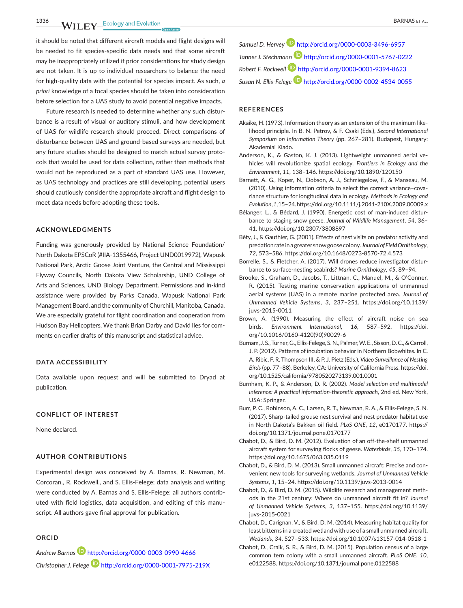**1336 WII FY** Ecology and Evolution **and Experiment Construction** BARNAS ET AL.

it should be noted that different aircraft models and flight designs will be needed to fit species-specific data needs and that some aircraft may be inappropriately utilized if prior considerations for study design are not taken. It is up to individual researchers to balance the need for high-quality data with the potential for species impact. As such, *a priori* knowledge of a focal species should be taken into consideration before selection for a UAS study to avoid potential negative impacts.

Future research is needed to determine whether any such disturbance is a result of visual or auditory stimuli, and how development of UAS for wildlife research should proceed. Direct comparisons of disturbance between UAS and ground-based surveys are needed, but any future studies should be designed to match actual survey protocols that would be used for data collection, rather than methods that would not be reproduced as a part of standard UAS use. However, as UAS technology and practices are still developing, potential users should cautiously consider the appropriate aircraft and flight design to meet data needs before adopting these tools.

## **ACKNOWLEDGMENTS**

Funding was generously provided by National Science Foundation/ North Dakota EPSCoR (#IIA-1355466, Project UND0019972), Wapusk National Park, Arctic Goose Joint Venture, the Central and Mississippi Flyway Councils, North Dakota View Scholarship, UND College of Arts and Sciences, UND Biology Department. Permissions and in-kind assistance were provided by Parks Canada, Wapusk National Park Management Board, and the community of Churchill, Manitoba, Canada. We are especially grateful for flight coordination and cooperation from Hudson Bay Helicopters. We thank Brian Darby and David Iles for comments on earlier drafts of this manuscript and statistical advice.

#### **DATA ACCESSIBILITY**

Data available upon request and will be submitted to Dryad at publication.

#### **CONFLICT OF INTEREST**

None declared.

### **AUTHOR CONTRIBUTIONS**

Experimental design was conceived by A. Barnas, R. Newman, M. Corcoran., R. Rockwell., and S. Ellis-Felege; data analysis and writing were conducted by A. Barnas and S. Ellis-Felege; all authors contributed with field logistics, data acquisition, and editing of this manuscript. All authors gave final approval for publication.

## **ORCID**

*Andrew Barna[s](http://orcid.org/0000-0003-0990-4666)* <http://orcid.org/0000-0003-0990-4666> *Christopher J. Felege* <http://orcid.org/0000-0001-7975-219X> *Samuel D. Hervey* <http://orcid.org/0000-0003-3496-6957> *Tanner J. Stechmann* <http://orcid.org/0000-0001-5767-0222> *Robert F. Rockwell* <http://orcid.org/0000-0001-9394-8623> *Susan N. Ellis-Felege* <http://orcid.org/0000-0002-4534-0055>

#### **REFERENCES**

- Akaike, H. (1973). Information theory as an extension of the maximum likelihood principle. In B. N. Petrov, & F. Csaki (Eds.), *Second International Symposium on Information Theory* (pp. 267–281). Budapest, Hungary: Akademiai Kiado.
- Anderson, K., & Gaston, K. J. (2013). Lightweight unmanned aerial vehicles will revolutionize spatial ecology. *Frontiers in Ecology and the Environment*, *11*, 138–146.<https://doi.org/10.1890/120150>
- Barnett, A. G., Koper, N., Dobson, A. J., Schmiegelow, F., & Manseau, M. (2010). Using information criteria to select the correct variance–covariance structure for longitudinal data in ecology. *Methods in Ecology and Evolution*, *1*, 15–24.<https://doi.org/10.1111/j.2041-210X.2009.00009.x>
- Bélanger, L., & Bédard, J. (1990). Energetic cost of man-induced disturbance to staging snow geese. *Journal of Wildlife Management*, *54*, 36– 41. <https://doi.org/10.2307/3808897>
- Bêty, J., & Gauthier, G. (2001). Effects of nest visits on predator activity and predation rate in a greater snow goose colony. *Journal of Field Ornithology*, *72*, 573–586. <https://doi.org/10.1648/0273-8570-72.4.573>
- Borrelle, S., & Fletcher, A. (2017). Will drones reduce investigator disturbance to surface-nesting seabirds? *Marine Ornithology*, *45*, 89–94.
- Brooke, S., Graham, D., Jacobs, T., Littnan, C., Manuel, M., & O'Conner, R. (2015). Testing marine conservation applications of unmanned aerial systems (UAS) in a remote marine protected area. *Journal of Unmanned Vehicle Systems*, *3*, 237–251. [https://doi.org/10.1139/](https://doi.org/10.1139/juvs-2015-0011) [juvs-2015-0011](https://doi.org/10.1139/juvs-2015-0011)
- Brown, A. (1990). Measuring the effect of aircraft noise on sea birds. *Environment International*, *16*, 587–592. [https://doi.](https://doi.org/10.1016/0160-4120(90)90029-6) [org/10.1016/0160-4120\(90\)90029-6](https://doi.org/10.1016/0160-4120(90)90029-6)
- Burnam, J. S., Turner, G., Ellis-Felege, S. N., Palmer, W. E., Sisson, D. C., & Carroll, J. P. (2012). Patterns of incubation behavior in Northern Bobwhites. In C. A. Ribic, F. R. Thompson III, & P. J. Pietz (Eds.), *Video Surveillance of Nesting Birds* (pp. 77–88). Berkeley, CA: University of California Press. [https://doi.](https://doi.org/10.1525/california/9780520273139.001.0001) [org/10.1525/california/9780520273139.001.0001](https://doi.org/10.1525/california/9780520273139.001.0001)
- Burnham, K. P., & Anderson, D. R. (2002). *Model selection and multimodel inference: A practical information-theoretic approach*, 2nd ed. New York, USA: Springer.
- Burr, P. C., Robinson, A. C., Larsen, R. T., Newman, R. A., & Ellis-Felege, S. N. (2017). Sharp-tailed grouse nest survival and nest predator habitat use in North Dakota's Bakken oil field. *PLoS ONE*, *12*, e0170177. [https://](https://doi.org/10.1371/journal.pone.0170177) [doi.org/10.1371/journal.pone.0170177](https://doi.org/10.1371/journal.pone.0170177)
- Chabot, D., & Bird, D. M. (2012). Evaluation of an off-the-shelf unmanned aircraft system for surveying flocks of geese. *Waterbirds*, *35*, 170–174. <https://doi.org/10.1675/063.035.0119>
- Chabot, D., & Bird, D. M. (2013). Small unmanned aircraft: Precise and convenient new tools for surveying wetlands. *Journal of Unmanned Vehicle Systems*, *1*, 15–24. <https://doi.org/10.1139/juvs-2013-0014>
- Chabot, D., & Bird, D. M. (2015). Wildlife research and management methods in the 21st century: Where do unmanned aircraft fit in? *Journal of Unmanned Vehicle Systems*, *3*, 137–155. [https://doi.org/10.1139/](https://doi.org/10.1139/juvs-2015-0021) [juvs-2015-0021](https://doi.org/10.1139/juvs-2015-0021)
- Chabot, D., Carignan, V., & Bird, D. M. (2014). Measuring habitat quality for least bitterns in a created wetland with use of a small unmanned aircraft. *Wetlands*, *34*, 527–533.<https://doi.org/10.1007/s13157-014-0518-1>
- Chabot, D., Craik, S. R., & Bird, D. M. (2015). Population census of a large common tern colony with a small unmanned aircraft. *PLoS ONE*, *10*, e0122588. <https://doi.org/10.1371/journal.pone.0122588>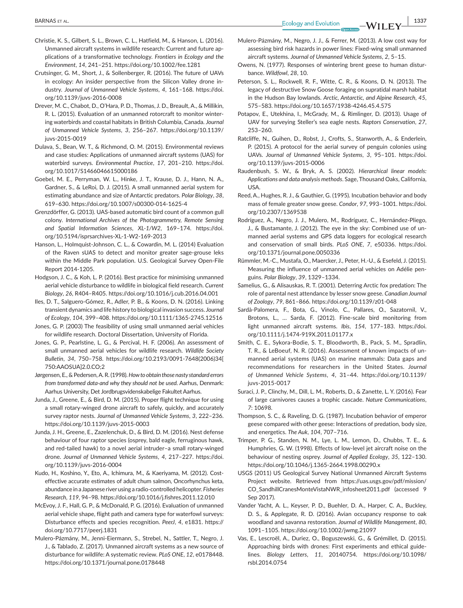- Christie, K. S., Gilbert, S. L., Brown, C. L., Hatfield, M., & Hanson, L. (2016). Unmanned aircraft systems in wildlife research: Current and future applications of a transformative technology. *Frontiers in Ecology and the Environment*, *14*, 241–251.<https://doi.org/10.1002/fee.1281>
- Crutsinger, G. M., Short, J., & Sollenberger, R. (2016). The future of UAVs in ecology: An insider perspective from the Silicon Valley drone industry. *Journal of Unmanned Vehicle Systems*, *4*, 161–168. [https://doi.](https://doi.org/10.1139/juvs-2016-0008) [org/10.1139/juvs-2016-0008](https://doi.org/10.1139/juvs-2016-0008)
- Drever, M. C., Chabot, D., O'Hara, P. D., Thomas, J. D., Breault, A., & Millikin, R. L. (2015). Evaluation of an unmanned rotorcraft to monitor wintering waterbirds and coastal habitats in British Columbia, Canada. *Journal of Unmanned Vehicle Systems*, *3*, 256–267. [https://doi.org/10.1139/](https://doi.org/10.1139/juvs-2015-0019) [juvs-2015-0019](https://doi.org/10.1139/juvs-2015-0019)
- Dulava, S., Bean, W. T., & Richmond, O. M. (2015). Environmental reviews and case studies: Applications of unmanned aircraft systems (UAS) for waterbird surveys. *Environmental Practice*, *17*, 201–210. [https://doi.](https://doi.org/10.1017/S1466046615000186) [org/10.1017/S1466046615000186](https://doi.org/10.1017/S1466046615000186)
- Goebel, M. E., Perryman, W. L., Hinke, J. T., Krause, D. J., Hann, N. A., Gardner, S., & LeRoi, D. J. (2015). A small unmanned aerial system for estimating abundance and size of Antarctic predators. *Polar Biology*, *38*, 619–630. <https://doi.org/10.1007/s00300-014-1625-4>
- Grenzdörffer, G. (2013). UAS-based automatic bird count of a common gull colony. *International Archives of the Photogrammetry, Remote Sensing and Spatial Information Sciences*, *XL-1/W2*, 169–174. [https://doi.](https://doi.org/10.5194/isprsarchives-XL-1-W2-169-2013) [org/10.5194/isprsarchives-XL-1-W2-169-2013](https://doi.org/10.5194/isprsarchives-XL-1-W2-169-2013)
- Hanson, L., Holmquist-Johnson, C. L., & Cowardin, M. L. (2014) Evaluation of the Raven sUAS to detect and monitor greater sage-grouse leks within the Middle Park population. U.S. Geological Survey Open-File Report 2014-1205.
- Hodgson, J. C., & Koh, L. P. (2016). Best practice for minimising unmanned aerial vehicle disturbance to wildlife in biological field research. *Current Biology*, *26*, R404–R405. <https://doi.org/10.1016/j.cub.2016.04.001>
- Iles, D. T., Salguero-Gómez, R., Adler, P. B., & Koons, D. N. (2016). Linking transient dynamics and life history to biological invasion success. *Journal of Ecology*, *104*, 399–408.<https://doi.org/10.1111/1365-2745.12516>
- Jones, G. P. (2003) The feasibility of using small unmanned aerial vehicles for wildlife research. Doctoral Dissertation, University of Florida.
- Jones, G. P., Pearlstine, L. G., & Percival, H. F. (2006). An assessment of small unmanned aerial vehicles for wildlife research. *Wildlife Society Bulletin*, *34*, 750–758. [https://doi.org/10.2193/0091-7648\(2006\)34\[](https://doi.org/10.2193/0091-7648(2006)34[750:AAOSUA]2.0.CO;2) [750:AAOSUA\]2.0.CO;2](https://doi.org/10.2193/0091-7648(2006)34[750:AAOSUA]2.0.CO;2)
- Jørgensen, E., & Pedersen, A. R. (1998). *How to obtain those nasty standard errors from transformed data-and why they should not be used*. Aarhus, Denmark: Aarhus University, Det Jordbrugsvidenskabelige Fakultet Aarhus.
- Junda, J., Greene, E., & Bird, D. M. (2015). Proper flight technique for using a small rotary-winged drone aircraft to safely, quickly, and accurately survey raptor nests. *Journal of Unmanned Vehicle Systems*, *3*, 222–236. <https://doi.org/10.1139/juvs-2015-0003>
- Junda, J. H., Greene, E., Zazelenchuk, D., & Bird, D. M. (2016). Nest defense behaviour of four raptor species (osprey, bald eagle, ferruginous hawk, and red-tailed hawk) to a novel aerial intruder–a small rotary-winged drone. *Journal of Unmanned Vehicle Systems*, *4*, 217–227. [https://doi.](https://doi.org/10.1139/juvs-2016-0004) [org/10.1139/juvs-2016-0004](https://doi.org/10.1139/juvs-2016-0004)
- Kudo, H., Koshino, Y., Eto, A., Ichimura, M., & Kaeriyama, M. (2012). Costeffective accurate estimates of adult chum salmon, Oncorhynchus keta, abundance in a Japanese river using a radio-controlled helicopter. *Fisheries Research*, *119*, 94–98. <https://doi.org/10.1016/j.fishres.2011.12.010>
- McEvoy, J. F., Hall, G. P., & McDonald, P. G. (2016). Evaluation of unmanned aerial vehicle shape, flight path and camera type for waterfowl surveys: Disturbance effects and species recognition. *PeerJ*, *4*, e1831. [https://](https://doi.org/10.7717/peerj.1831) [doi.org/10.7717/peerj.1831](https://doi.org/10.7717/peerj.1831)
- Mulero-Pázmány, M., Jenni-Eiermann, S., Strebel, N., Sattler, T., Negro, J. J., & Tablado, Z. (2017). Unmanned aircraft systems as a new source of disturbance for wildlife: A systematic review. *PLoS ONE*, *12*, e0178448. <https://doi.org/10.1371/journal.pone.0178448>
- Mulero-Pázmány, M., Negro, J. J., & Ferrer, M. (2013). A low cost way for assessing bird risk hazards in power lines: Fixed-wing small unmanned aircraft systems. *Journal of Unmanned Vehicle Systems*, *2*, 5–15.
- Owens, N. (1977). Responses of wintering brent geese to human disturbance. *Wildfowl*, *28*, 10.
- Peterson, S. L., Rockwell, R. F., Witte, C. R., & Koons, D. N. (2013). The legacy of destructive Snow Goose foraging on supratidal marsh habitat in the Hudson Bay lowlands. *Arctic, Antarctic, and Alpine Research*, *45*, 575–583. <https://doi.org/10.1657/1938-4246.45.4.575>
- Potapov, E., Utekhina, I., McGrady, M., & Rimlinger, D. (2013). Usage of UAV for surveying Steller's sea eagle nests. *Raptors Conservation*, *27*, 253–260.
- Ratcliffe, N., Guihen, D., Robst, J., Crofts, S., Stanworth, A., & Enderlein, P. (2015). A protocol for the aerial survey of penguin colonies using UAVs. *Journal of Unmanned Vehicle Systems*, *3*, 95–101. [https://doi.](https://doi.org/10.1139/juvs-2015-0006) [org/10.1139/juvs-2015-0006](https://doi.org/10.1139/juvs-2015-0006)
- Raudenbush, S. W., & Bryk, A. S. (2002). *Hierarchical linear models: Applications and data analysis methods*. Sage, Thousand Oaks, California, USA.
- Reed, A., Hughes, R. J., & Gauthier, G. (1995). Incubation behavior and body mass of female greater snow geese. *Condor*, *97*, 993–1001. [https://doi.](https://doi.org/10.2307/1369538) [org/10.2307/1369538](https://doi.org/10.2307/1369538)
- Rodríguez, A., Negro, J. J., Mulero, M., Rodríguez, C., Hernández-Pliego, J., & Bustamante, J. (2012). The eye in the sky: Combined use of unmanned aerial systems and GPS data loggers for ecological research and conservation of small birds. *PLoS ONE*, *7*, e50336. [https://doi.](https://doi.org/10.1371/journal.pone.0050336) [org/10.1371/journal.pone.0050336](https://doi.org/10.1371/journal.pone.0050336)
- Rümmler, M.-C., Mustafa, O., Maercker, J., Peter, H.-U., & Esefeld, J. (2015). Measuring the influence of unmanned aerial vehicles on Adélie penguins. *Polar Biology*, *39*, 1329–1334.
- Samelius, G., & Alisauskas, R. T. (2001). Deterring Arctic fox predation: The role of parental nest attendance by lesser snow geese. *Canadian Journal of Zoology*, *79*, 861–866.<https://doi.org/10.1139/z01-048>
- Sardà-Palomera, F., Bota, G., Vinolo, C., Pallares, O., Sazatornil, V., Brotons, L., … Sarda, F. (2012). Fine-scale bird monitoring from light unmanned aircraft systems. *Ibis*, *154*, 177–183. [https://doi.](https://doi.org/10.1111/j.1474-919X.2011.01177.x) [org/10.1111/j.1474-919X.2011.01177.x](https://doi.org/10.1111/j.1474-919X.2011.01177.x)
- Smith, C. E., Sykora-Bodie, S. T., Bloodworth, B., Pack, S. M., Spradlin, T. R., & LeBoeuf, N. R. (2016). Assessment of known impacts of unmanned aerial systems (UAS) on marine mammals: Data gaps and recommendations for researchers in the United States. *Journal of Unmanned Vehicle Systems*, *4*, 31–44. [https://doi.org/10.1139/](https://doi.org/10.1139/juvs-2015-0017) [juvs-2015-0017](https://doi.org/10.1139/juvs-2015-0017)
- Suraci, J. P., Clinchy, M., Dill, L. M., Roberts, D., & Zanette, L. Y. (2016). Fear of large carnivores causes a trophic cascade. *Nature Communications*, *7*: 10698.
- Thompson, S. C., & Raveling, D. G. (1987). Incubation behavior of emperor geese compared with other geese: Interactions of predation, body size, and energetics. *The Auk*, *104*, 707–716.
- Trimper, P. G., Standen, N. M., Lye, L. M., Lemon, D., Chubbs, T. E., & Humphries, G. W. (1998). Effects of low-level jet aircraft noise on the behaviour of nesting osprey. *Journal of Applied Ecology*, *35*, 122–130. <https://doi.org/10.1046/j.1365-2664.1998.00290.x>
- USGS (2011) US Geological Survey National Unmanned Aircraft Systems Project website. Retrieved from [https://uas.usgs.gov/pdf/mission/](https://uas.usgs.gov/pdf/mission/CO_SandhillCranesMonteVistaNWR_infosheet2011.pdf) [CO\\_SandhillCranesMonteVistaNWR\\_infosheet2011.pdf](https://uas.usgs.gov/pdf/mission/CO_SandhillCranesMonteVistaNWR_infosheet2011.pdf) (accessed 9 Sep 2017).
- Vander Yacht, A. L., Keyser, P. D., Buehler, D. A., Harper, C. A., Buckley, D. S., & Applegate, R. D. (2016). Avian occupancy response to oak woodland and savanna restoration. *Journal of Wildlife Management*, *80*, 1091–1105. <https://doi.org/10.1002/jwmg.21097>
- Vas, E., Lescroël, A., Duriez, O., Boguszewski, G., & Grémillet, D. (2015). Approaching birds with drones: First experiments and ethical guidelines. *Biology Letters*, *11*, 20140754. [https://doi.org/10.1098/](https://doi.org/10.1098/rsbl.2014.0754) [rsbl.2014.0754](https://doi.org/10.1098/rsbl.2014.0754)